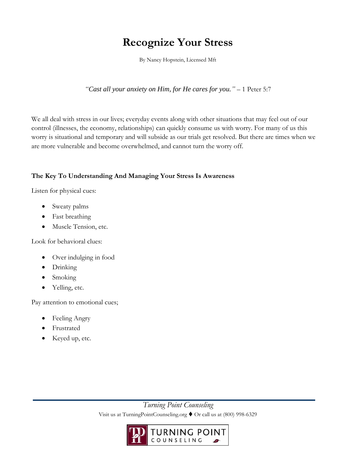## **Recognize Your Stress**

By Nancy Hopstein, Licensed Mft

*"Cast all your anxiety on Him, for He cares for you."* – 1 Peter 5:7

We all deal with stress in our lives; everyday events along with other situations that may feel out of our control (illnesses, the economy, relationships) can quickly consume us with worry. For many of us this worry is situational and temporary and will subside as our trials get resolved. But there are times when we are more vulnerable and become overwhelmed, and cannot turn the worry off.

## **The Key To Understanding And Managing Your Stress Is Awareness**

Listen for physical cues:

- Sweaty palms
- Fast breathing
- Muscle Tension, etc.

Look for behavioral clues:

- Over indulging in food
- Drinking
- Smoking
- Yelling, etc.

Pay attention to emotional cues;

- Feeling Angry
- Frustrated
- Keyed up, etc.

*Turning Point Counseling*  Visit us at TurningPointCounseling.org ♦ Or call us at (800) 998-6329